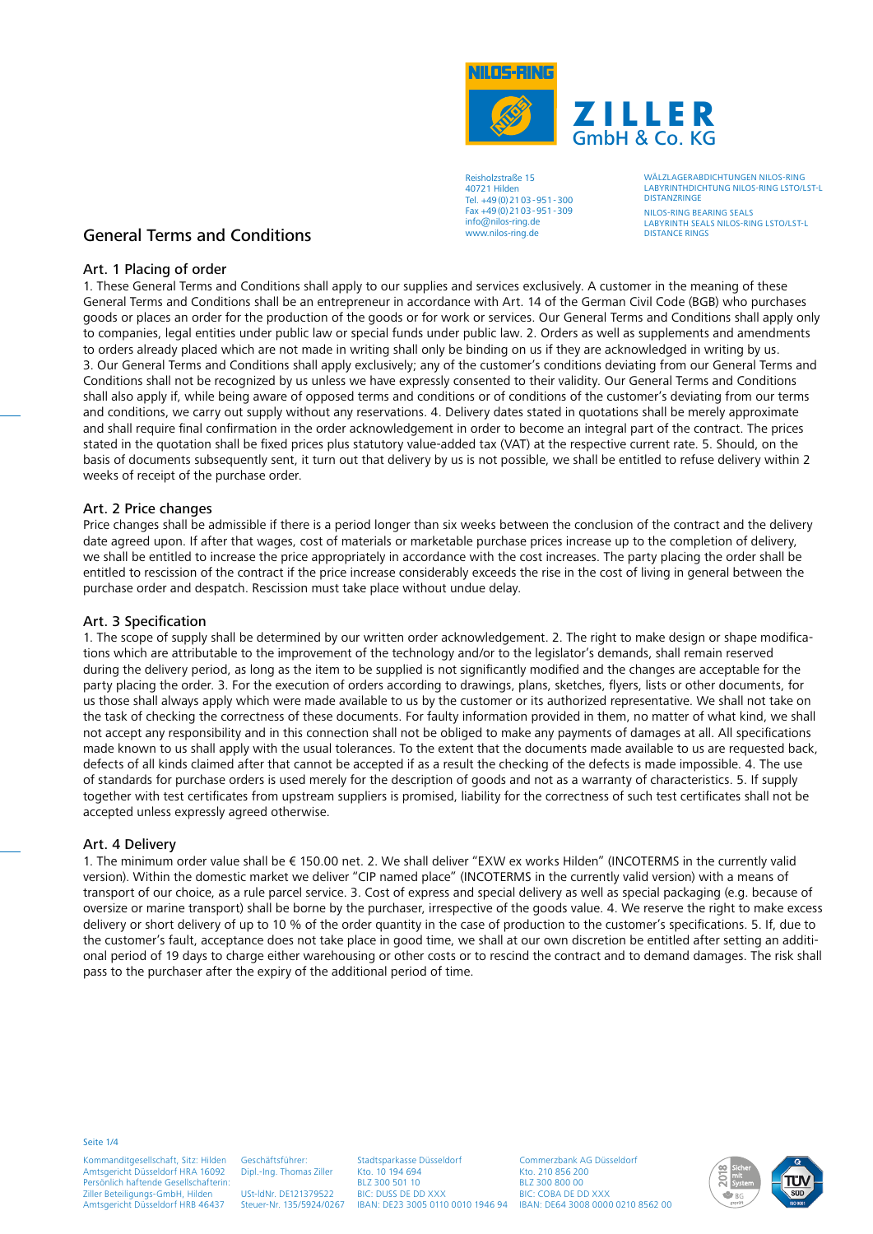

WÄLZLAGERABDICHTUNGEN NILOS-RING LABYRINTHDICHTUNG NILOS-RING LSTO/LST-L **DISTANZRINGE** 

NILOS-RING BEARING SEALS LABYRINTH SEALS NILOS-RING LSTO/LST-L DISTANCE RINGS

## General Terms and Conditions

### Art. 1 Placing of order

1. These General Terms and Conditions shall apply to our supplies and services exclusively. A customer in the meaning of these General Terms and Conditions shall be an entrepreneur in accordance with Art. 14 of the German Civil Code (BGB) who purchases goods or places an order for the production of the goods or for work or services. Our General Terms and Conditions shall apply only to companies, legal entities under public law or special funds under public law. 2. Orders as well as supplements and amendments to orders already placed which are not made in writing shall only be binding on us if they are acknowledged in writing by us. 3. Our General Terms and Conditions shall apply exclusively; any of the customer's conditions deviating from our General Terms and Conditions shall not be recognized by us unless we have expressly consented to their validity. Our General Terms and Conditions shall also apply if, while being aware of opposed terms and conditions or of conditions of the customer's deviating from our terms and conditions, we carry out supply without any reservations. 4. Delivery dates stated in quotations shall be merely approximate and shall require final confirmation in the order acknowledgement in order to become an integral part of the contract. The prices stated in the quotation shall be fixed prices plus statutory value-added tax (VAT) at the respective current rate. 5. Should, on the basis of documents subsequently sent, it turn out that delivery by us is not possible, we shall be entitled to refuse delivery within 2 weeks of receipt of the purchase order.

#### Art. 2 Price changes

Price changes shall be admissible if there is a period longer than six weeks between the conclusion of the contract and the delivery date agreed upon. If after that wages, cost of materials or marketable purchase prices increase up to the completion of delivery, we shall be entitled to increase the price appropriately in accordance with the cost increases. The party placing the order shall be entitled to rescission of the contract if the price increase considerably exceeds the rise in the cost of living in general between the purchase order and despatch. Rescission must take place without undue delay.

#### Art. 3 Specification

1. The scope of supply shall be determined by our written order acknowledgement. 2. The right to make design or shape modifications which are attributable to the improvement of the technology and/or to the legislator's demands, shall remain reserved during the delivery period, as long as the item to be supplied is not significantly modified and the changes are acceptable for the party placing the order. 3. For the execution of orders according to drawings, plans, sketches, flyers, lists or other documents, for us those shall always apply which were made available to us by the customer or its authorized representative. We shall not take on the task of checking the correctness of these documents. For faulty information provided in them, no matter of what kind, we shall not accept any responsibility and in this connection shall not be obliged to make any payments of damages at all. All specifications made known to us shall apply with the usual tolerances. To the extent that the documents made available to us are requested back, defects of all kinds claimed after that cannot be accepted if as a result the checking of the defects is made impossible. 4. The use of standards for purchase orders is used merely for the description of goods and not as a warranty of characteristics. 5. If supply together with test certificates from upstream suppliers is promised, liability for the correctness of such test certificates shall not be accepted unless expressly agreed otherwise.

### Art. 4 Delivery

1. The minimum order value shall be € 150.00 net. 2. We shall deliver "EXW ex works Hilden" (INCOTERMS in the currently valid version). Within the domestic market we deliver "CIP named place" (INCOTERMS in the currently valid version) with a means of transport of our choice, as a rule parcel service. 3. Cost of express and special delivery as well as special packaging (e.g. because of oversize or marine transport) shall be borne by the purchaser, irrespective of the goods value. 4. We reserve the right to make excess delivery or short delivery of up to 10 % of the order quantity in the case of production to the customer's specifications. 5. If, due to the customer's fault, acceptance does not take place in good time, we shall at our own discretion be entitled after setting an additional period of 19 days to charge either warehousing or other costs or to rescind the contract and to demand damages. The risk shall pass to the purchaser after the expiry of the additional period of time.

Seite 1/4

Kommanditgesellschaft, Sitz: Hilden Amtsgericht Düsseldorf HRA 16092 Persönlich haftende Gesellschafterin: Ziller Beteiligungs-GmbH, Hilden Amtsgericht Düsseldorf HRB 46437

Dipl.-Ing. Thomas Ziller USt-ldNr. DE121379522 Steuer-Nr. 135/5924/0267

Geschäftsführer:

Stadtsparkasse Düsseldorf Kto. 10 194 694 BLZ 300 501 10 BIC: DUSS DE DD XXX

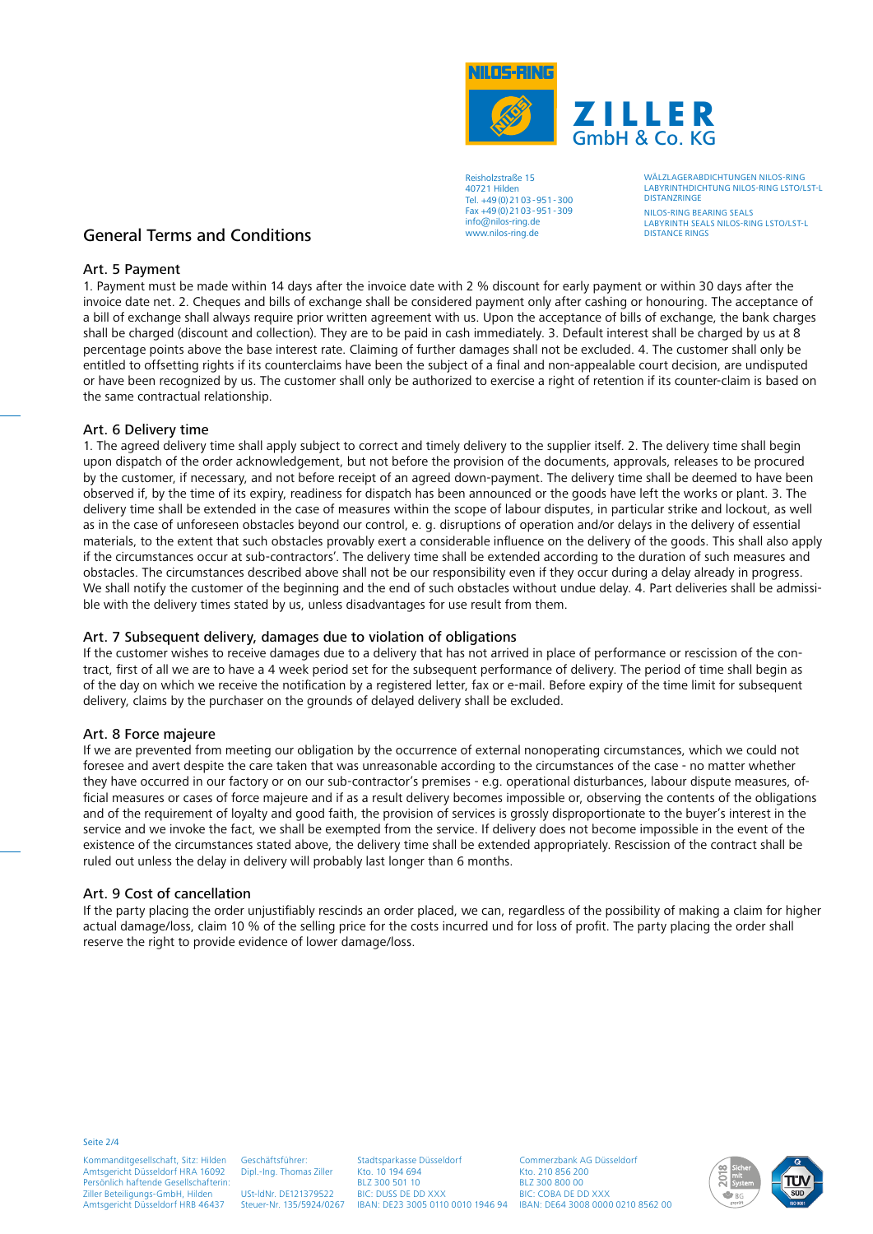

WÄLZLAGERABDICHTUNGEN NILOS-RING LABYRINTHDICHTUNG NILOS-RING LSTO/LST-L **DISTANZRINGE** 

NILOS-RING BEARING SEALS LABYRINTH SEALS NILOS-RING LSTO/LST-L DISTANCE RINGS

# General Terms and Conditions

### Art. 5 Payment

1. Payment must be made within 14 days after the invoice date with 2 % discount for early payment or within 30 days after the invoice date net. 2. Cheques and bills of exchange shall be considered payment only after cashing or honouring. The acceptance of a bill of exchange shall always require prior written agreement with us. Upon the acceptance of bills of exchange, the bank charges shall be charged (discount and collection). They are to be paid in cash immediately. 3. Default interest shall be charged by us at 8 percentage points above the base interest rate. Claiming of further damages shall not be excluded. 4. The customer shall only be entitled to offsetting rights if its counterclaims have been the subject of a final and non-appealable court decision, are undisputed or have been recognized by us. The customer shall only be authorized to exercise a right of retention if its counter-claim is based on the same contractual relationship.

### Art. 6 Delivery time

1. The agreed delivery time shall apply subject to correct and timely delivery to the supplier itself. 2. The delivery time shall begin upon dispatch of the order acknowledgement, but not before the provision of the documents, approvals, releases to be procured by the customer, if necessary, and not before receipt of an agreed down-payment. The delivery time shall be deemed to have been observed if, by the time of its expiry, readiness for dispatch has been announced or the goods have left the works or plant. 3. The delivery time shall be extended in the case of measures within the scope of labour disputes, in particular strike and lockout, as well as in the case of unforeseen obstacles beyond our control, e. g. disruptions of operation and/or delays in the delivery of essential materials, to the extent that such obstacles provably exert a considerable influence on the delivery of the goods. This shall also apply if the circumstances occur at sub-contractors'. The delivery time shall be extended according to the duration of such measures and obstacles. The circumstances described above shall not be our responsibility even if they occur during a delay already in progress. We shall notify the customer of the beginning and the end of such obstacles without undue delay. 4. Part deliveries shall be admissible with the delivery times stated by us, unless disadvantages for use result from them.

### Art. 7 Subsequent delivery, damages due to violation of obligations

If the customer wishes to receive damages due to a delivery that has not arrived in place of performance or rescission of the contract, first of all we are to have a 4 week period set for the subsequent performance of delivery. The period of time shall begin as of the day on which we receive the notification by a registered letter, fax or e-mail. Before expiry of the time limit for subsequent delivery, claims by the purchaser on the grounds of delayed delivery shall be excluded.

### Art. 8 Force majeure

If we are prevented from meeting our obligation by the occurrence of external nonoperating circumstances, which we could not foresee and avert despite the care taken that was unreasonable according to the circumstances of the case - no matter whether they have occurred in our factory or on our sub-contractor's premises - e.g. operational disturbances, labour dispute measures, official measures or cases of force majeure and if as a result delivery becomes impossible or, observing the contents of the obligations and of the requirement of loyalty and good faith, the provision of services is grossly disproportionate to the buyer's interest in the service and we invoke the fact, we shall be exempted from the service. If delivery does not become impossible in the event of the existence of the circumstances stated above, the delivery time shall be extended appropriately. Rescission of the contract shall be ruled out unless the delay in delivery will probably last longer than 6 months.

### Art. 9 Cost of cancellation

If the party placing the order unjustifiably rescinds an order placed, we can, regardless of the possibility of making a claim for higher actual damage/loss, claim 10 % of the selling price for the costs incurred und for loss of profit. The party placing the order shall reserve the right to provide evidence of lower damage/loss.

Seite 2/4

Kommanditgesellschaft, Sitz: Hilden Amtsgericht Düsseldorf HRA 16092 Persönlich haftende Gesellschafterin: Ziller Beteiligungs-GmbH, Hilden Amtsgericht Düsseldorf HRB 46437

Dipl.-Ing. Thomas Ziller USt-ldNr. DE121379522 Steuer-Nr. 135/5924/0267

Geschäftsführer:

Stadtsparkasse Düsseldorf Kto. 10 194 694 BLZ 300 501 10 BIC: DUSS DE DD XXX

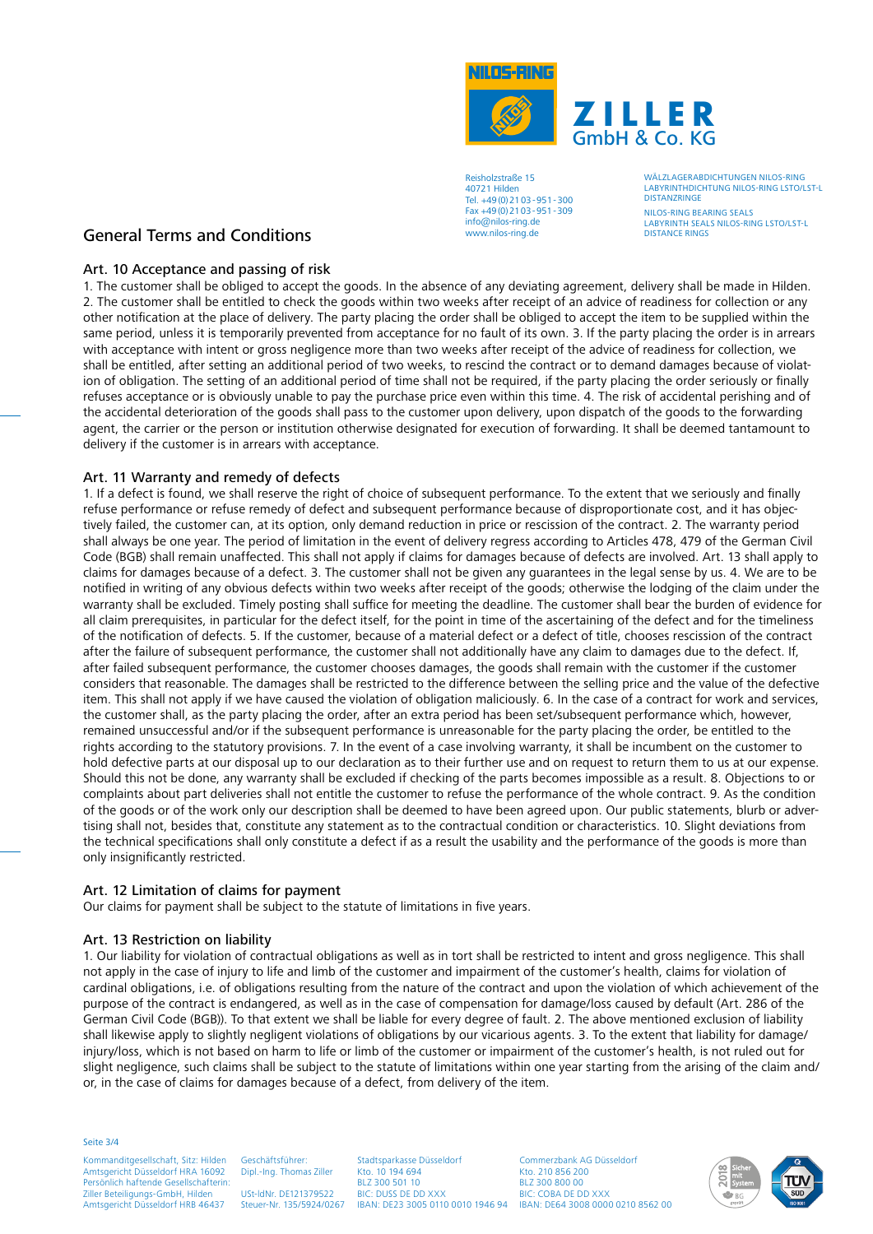

WÄLZLAGERABDICHTUNGEN NILOS-RING LABYRINTHDICHTUNG NILOS-RING LSTO/LST-L **DISTANZRINGE** 

NILOS-RING BEARING SEALS LABYRINTH SEALS NILOS-RING LSTO/LST-L DISTANCE RINGS

# General Terms and Conditions

## Art. 10 Acceptance and passing of risk

1. The customer shall be obliged to accept the goods. In the absence of any deviating agreement, delivery shall be made in Hilden. 2. The customer shall be entitled to check the goods within two weeks after receipt of an advice of readiness for collection or any other notification at the place of delivery. The party placing the order shall be obliged to accept the item to be supplied within the same period, unless it is temporarily prevented from acceptance for no fault of its own. 3. If the party placing the order is in arrears with acceptance with intent or gross negligence more than two weeks after receipt of the advice of readiness for collection, we shall be entitled, after setting an additional period of two weeks, to rescind the contract or to demand damages because of violation of obligation. The setting of an additional period of time shall not be required, if the party placing the order seriously or finally refuses acceptance or is obviously unable to pay the purchase price even within this time. 4. The risk of accidental perishing and of the accidental deterioration of the goods shall pass to the customer upon delivery, upon dispatch of the goods to the forwarding agent, the carrier or the person or institution otherwise designated for execution of forwarding. It shall be deemed tantamount to delivery if the customer is in arrears with acceptance.

### Art. 11 Warranty and remedy of defects

1. If a defect is found, we shall reserve the right of choice of subsequent performance. To the extent that we seriously and finally refuse performance or refuse remedy of defect and subsequent performance because of disproportionate cost, and it has objectively failed, the customer can, at its option, only demand reduction in price or rescission of the contract. 2. The warranty period shall always be one year. The period of limitation in the event of delivery regress according to Articles 478, 479 of the German Civil Code (BGB) shall remain unaffected. This shall not apply if claims for damages because of defects are involved. Art. 13 shall apply to claims for damages because of a defect. 3. The customer shall not be given any guarantees in the legal sense by us. 4. We are to be notified in writing of any obvious defects within two weeks after receipt of the goods; otherwise the lodging of the claim under the warranty shall be excluded. Timely posting shall suffice for meeting the deadline. The customer shall bear the burden of evidence for all claim prerequisites, in particular for the defect itself, for the point in time of the ascertaining of the defect and for the timeliness of the notification of defects. 5. If the customer, because of a material defect or a defect of title, chooses rescission of the contract after the failure of subsequent performance, the customer shall not additionally have any claim to damages due to the defect. If, after failed subsequent performance, the customer chooses damages, the goods shall remain with the customer if the customer considers that reasonable. The damages shall be restricted to the difference between the selling price and the value of the defective item. This shall not apply if we have caused the violation of obligation maliciously. 6. In the case of a contract for work and services, the customer shall, as the party placing the order, after an extra period has been set/subsequent performance which, however, remained unsuccessful and/or if the subsequent performance is unreasonable for the party placing the order, be entitled to the rights according to the statutory provisions. 7. In the event of a case involving warranty, it shall be incumbent on the customer to hold defective parts at our disposal up to our declaration as to their further use and on request to return them to us at our expense. Should this not be done, any warranty shall be excluded if checking of the parts becomes impossible as a result. 8. Objections to or complaints about part deliveries shall not entitle the customer to refuse the performance of the whole contract. 9. As the condition of the goods or of the work only our description shall be deemed to have been agreed upon. Our public statements, blurb or advertising shall not, besides that, constitute any statement as to the contractual condition or characteristics. 10. Slight deviations from the technical specifications shall only constitute a defect if as a result the usability and the performance of the goods is more than only insignificantly restricted.

## Art. 12 Limitation of claims for payment

Our claims for payment shall be subject to the statute of limitations in five years.

### Art. 13 Restriction on liability

1. Our liability for violation of contractual obligations as well as in tort shall be restricted to intent and gross negligence. This shall not apply in the case of injury to life and limb of the customer and impairment of the customer's health, claims for violation of cardinal obligations, i.e. of obligations resulting from the nature of the contract and upon the violation of which achievement of the purpose of the contract is endangered, as well as in the case of compensation for damage/loss caused by default (Art. 286 of the German Civil Code (BGB)). To that extent we shall be liable for every degree of fault. 2. The above mentioned exclusion of liability shall likewise apply to slightly negligent violations of obligations by our vicarious agents. 3. To the extent that liability for damage/ injury/loss, which is not based on harm to life or limb of the customer or impairment of the customer's health, is not ruled out for slight negligence, such claims shall be subject to the statute of limitations within one year starting from the arising of the claim and/ or, in the case of claims for damages because of a defect, from delivery of the item.

Seite 3/4

Kommanditgesellschaft, Sitz: Hilden Amtsgericht Düsseldorf HRA 16092 Persönlich haftende Gesellschafterin: Ziller Beteiligungs-GmbH, Hilden Amtsgericht Düsseldorf HRB 46437 Geschäftsführer:

Dipl.-Ing. Thomas Ziller USt-ldNr. DE121379522 Steuer-Nr. 135/5924/0267 Stadtsparkasse Düsseldorf Kto. 10 194 694 BLZ 300 501 10 BIC: DUSS DE DD XXX